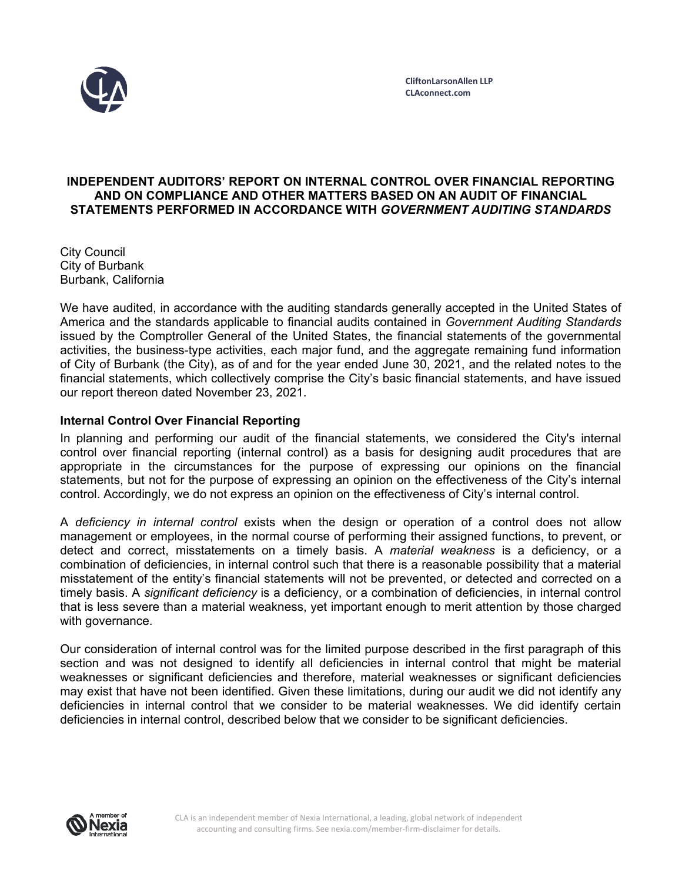

#### **INDEPENDENT AUDITORS' REPORT ON INTERNAL CONTROL OVER FINANCIAL REPORTING AND ON COMPLIANCE AND OTHER MATTERS BASED ON AN AUDIT OF FINANCIAL STATEMENTS PERFORMED IN ACCORDANCE WITH** *GOVERNMENT AUDITING STANDARDS*

City Council City of Burbank Burbank, California

We have audited, in accordance with the auditing standards generally accepted in the United States of America and the standards applicable to financial audits contained in *Government Auditing Standards*  issued by the Comptroller General of the United States, the financial statements of the governmental activities, the business-type activities, each major fund, and the aggregate remaining fund information of City of Burbank (the City), as of and for the year ended June 30, 2021, and the related notes to the financial statements, which collectively comprise the City's basic financial statements, and have issued our report thereon dated November 23, 2021.

# **Internal Control Over Financial Reporting**

In planning and performing our audit of the financial statements, we considered the City's internal control over financial reporting (internal control) as a basis for designing audit procedures that are appropriate in the circumstances for the purpose of expressing our opinions on the financial statements, but not for the purpose of expressing an opinion on the effectiveness of the City's internal control. Accordingly, we do not express an opinion on the effectiveness of City's internal control.

A *deficiency in internal control* exists when the design or operation of a control does not allow management or employees, in the normal course of performing their assigned functions, to prevent, or detect and correct, misstatements on a timely basis. A *material weakness* is a deficiency, or a combination of deficiencies, in internal control such that there is a reasonable possibility that a material misstatement of the entity's financial statements will not be prevented, or detected and corrected on a timely basis. A *significant deficiency* is a deficiency, or a combination of deficiencies, in internal control that is less severe than a material weakness, yet important enough to merit attention by those charged with governance.

Our consideration of internal control was for the limited purpose described in the first paragraph of this section and was not designed to identify all deficiencies in internal control that might be material weaknesses or significant deficiencies and therefore, material weaknesses or significant deficiencies may exist that have not been identified. Given these limitations, during our audit we did not identify any deficiencies in internal control that we consider to be material weaknesses. We did identify certain deficiencies in internal control, described below that we consider to be significant deficiencies.

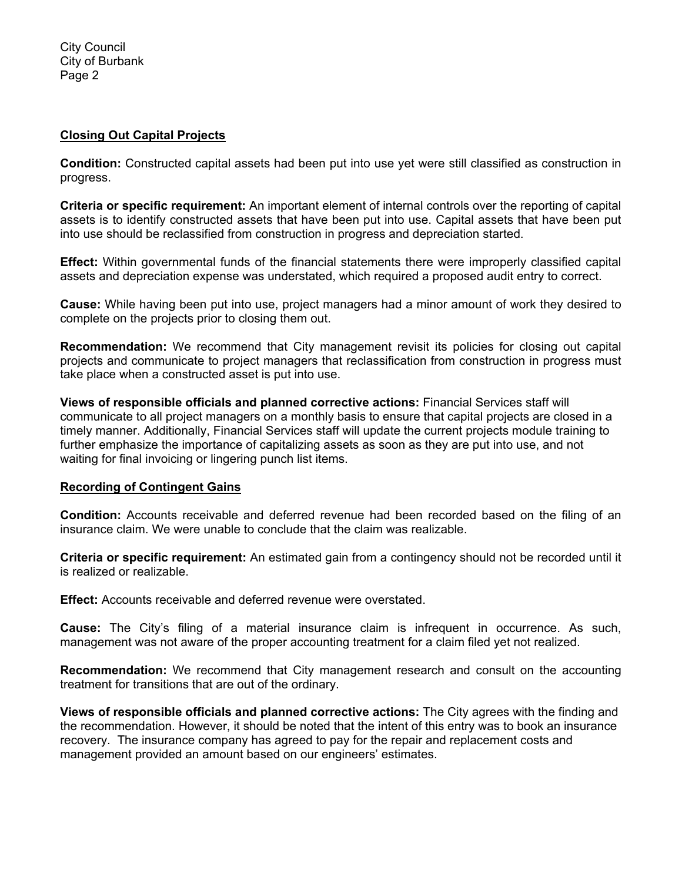City Council City of Burbank Page 2

## **Closing Out Capital Projects**

**Condition:** Constructed capital assets had been put into use yet were still classified as construction in progress.

**Criteria or specific requirement:** An important element of internal controls over the reporting of capital assets is to identify constructed assets that have been put into use. Capital assets that have been put into use should be reclassified from construction in progress and depreciation started.

**Effect:** Within governmental funds of the financial statements there were improperly classified capital assets and depreciation expense was understated, which required a proposed audit entry to correct.

**Cause:** While having been put into use, project managers had a minor amount of work they desired to complete on the projects prior to closing them out.

**Recommendation:** We recommend that City management revisit its policies for closing out capital projects and communicate to project managers that reclassification from construction in progress must take place when a constructed asset is put into use.

**Views of responsible officials and planned corrective actions:** Financial Services staff will communicate to all project managers on a monthly basis to ensure that capital projects are closed in a timely manner. Additionally, Financial Services staff will update the current projects module training to further emphasize the importance of capitalizing assets as soon as they are put into use, and not waiting for final invoicing or lingering punch list items.

#### **Recording of Contingent Gains**

**Condition:** Accounts receivable and deferred revenue had been recorded based on the filing of an insurance claim. We were unable to conclude that the claim was realizable.

**Criteria or specific requirement:** An estimated gain from a contingency should not be recorded until it is realized or realizable.

**Effect:** Accounts receivable and deferred revenue were overstated.

**Cause:** The City's filing of a material insurance claim is infrequent in occurrence. As such, management was not aware of the proper accounting treatment for a claim filed yet not realized.

**Recommendation:** We recommend that City management research and consult on the accounting treatment for transitions that are out of the ordinary.

**Views of responsible officials and planned corrective actions:** The City agrees with the finding and the recommendation. However, it should be noted that the intent of this entry was to book an insurance recovery. The insurance company has agreed to pay for the repair and replacement costs and management provided an amount based on our engineers' estimates.